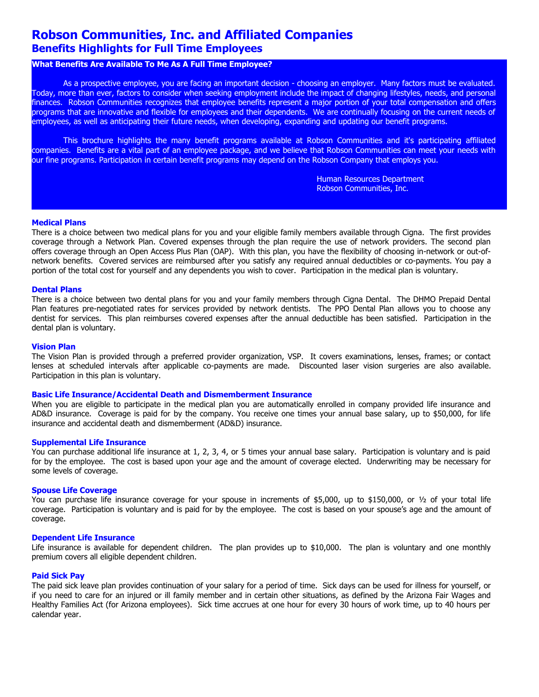# **Robson Communities, Inc. and Affiliated Companies Benefits Highlights for Full Time Employees**

## **What Benefits Are Available To Me As A Full Time Employee?**

As a prospective employee, you are facing an important decision - choosing an employer. Many factors must be evaluated. Today, more than ever, factors to consider when seeking employment include the impact of changing lifestyles, needs, and personal finances. Robson Communities recognizes that employee benefits represent a major portion of your total compensation and offers programs that are innovative and flexible for employees and their dependents. We are continually focusing on the current needs of employees, as well as anticipating their future needs, when developing, expanding and updating our benefit programs.

This brochure highlights the many benefit programs available at Robson Communities and it's participating affiliated companies. Benefits are a vital part of an employee package, and we believe that Robson Communities can meet your needs with our fine programs. Participation in certain benefit programs may depend on the Robson Company that employs you.

> Human Resources Department Robson Communities, Inc.

## **Medical Plans**

There is a choice between two medical plans for you and your eligible family members available through Cigna. The first provides coverage through a Network Plan. Covered expenses through the plan require the use of network providers. The second plan offers coverage through an Open Access Plus Plan (OAP). With this plan, you have the flexibility of choosing in-network or out-ofnetwork benefits. Covered services are reimbursed after you satisfy any required annual deductibles or co-payments. You pay a portion of the total cost for yourself and any dependents you wish to cover. Participation in the medical plan is voluntary.

#### **Dental Plans**

There is a choice between two dental plans for you and your family members through Cigna Dental. The DHMO Prepaid Dental Plan features pre-negotiated rates for services provided by network dentists. The PPO Dental Plan allows you to choose any dentist for services. This plan reimburses covered expenses after the annual deductible has been satisfied. Participation in the dental plan is voluntary.

#### **Vision Plan**

The Vision Plan is provided through a preferred provider organization, VSP. It covers examinations, lenses, frames; or contact lenses at scheduled intervals after applicable co-payments are made. Discounted laser vision surgeries are also available. Participation in this plan is voluntary.

## **Basic Life Insurance/Accidental Death and Dismemberment Insurance**

When you are eligible to participate in the medical plan you are automatically enrolled in company provided life insurance and AD&D insurance. Coverage is paid for by the company. You receive one times your annual base salary, up to \$50,000, for life insurance and accidental death and dismemberment (AD&D) insurance.

#### **Supplemental Life Insurance**

You can purchase additional life insurance at 1, 2, 3, 4, or 5 times your annual base salary. Participation is voluntary and is paid for by the employee. The cost is based upon your age and the amount of coverage elected. Underwriting may be necessary for some levels of coverage.

#### **Spouse Life Coverage**

You can purchase life insurance coverage for your spouse in increments of \$5,000, up to \$150,000, or 1/2 of your total life coverage. Participation is voluntary and is paid for by the employee. The cost is based on your spouse's age and the amount of coverage.

#### **Dependent Life Insurance**

Life insurance is available for dependent children. The plan provides up to \$10,000. The plan is voluntary and one monthly premium covers all eligible dependent children.

## **Paid Sick Pay**

The paid sick leave plan provides continuation of your salary for a period of time. Sick days can be used for illness for yourself, or if you need to care for an injured or ill family member and in certain other situations, as defined by the Arizona Fair Wages and Healthy Families Act (for Arizona employees). Sick time accrues at one hour for every 30 hours of work time, up to 40 hours per calendar year.